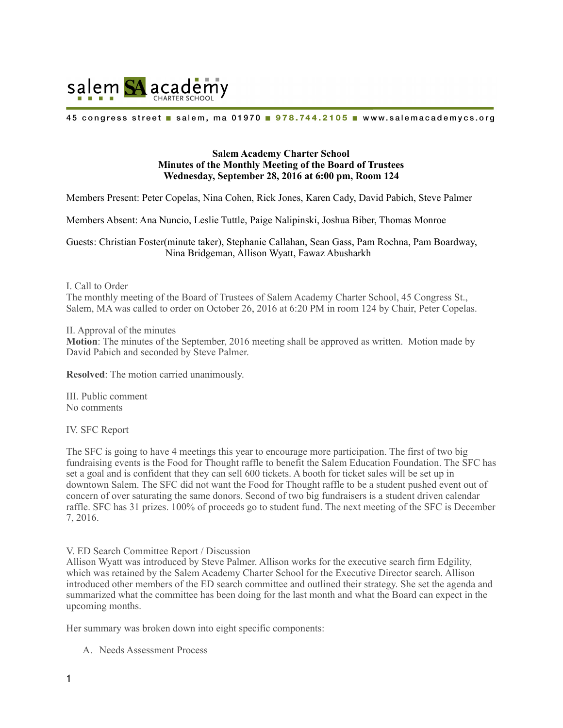

#### 45 congress street salem, ma 01970 978.744.2105 www.salemacademycs.org

# **Salem Academy Charter School Minutes of the Monthly Meeting of the Board of Trustees Wednesday, September 28, 2016 at 6:00 pm, Room 124**

Members Present: Peter Copelas, Nina Cohen, Rick Jones, Karen Cady, David Pabich, Steve Palmer

Members Absent: Ana Nuncio, Leslie Tuttle, Paige Nalipinski, Joshua Biber, Thomas Monroe

Guests: Christian Foster(minute taker), Stephanie Callahan, Sean Gass, Pam Rochna, Pam Boardway, Nina Bridgeman, Allison Wyatt, Fawaz Abusharkh

I. Call to Order

The monthly meeting of the Board of Trustees of Salem Academy Charter School, 45 Congress St., Salem, MA was called to order on October 26, 2016 at 6:20 PM in room 124 by Chair, Peter Copelas.

II. Approval of the minutes

**Motion**: The minutes of the September, 2016 meeting shall be approved as written. Motion made by David Pabich and seconded by Steve Palmer.

**Resolved**: The motion carried unanimously.

III. Public comment No comments

IV. SFC Report

The SFC is going to have 4 meetings this year to encourage more participation. The first of two big fundraising events is the Food for Thought raffle to benefit the Salem Education Foundation. The SFC has set a goal and is confident that they can sell 600 tickets. A booth for ticket sales will be set up in downtown Salem. The SFC did not want the Food for Thought raffle to be a student pushed event out of concern of over saturating the same donors. Second of two big fundraisers is a student driven calendar raffle. SFC has 31 prizes. 100% of proceeds go to student fund. The next meeting of the SFC is December 7, 2016.

V. ED Search Committee Report / Discussion

Allison Wyatt was introduced by Steve Palmer. Allison works for the executive search firm Edgility, which was retained by the Salem Academy Charter School for the Executive Director search. Allison introduced other members of the ED search committee and outlined their strategy. She set the agenda and summarized what the committee has been doing for the last month and what the Board can expect in the upcoming months.

Her summary was broken down into eight specific components:

A. Needs Assessment Process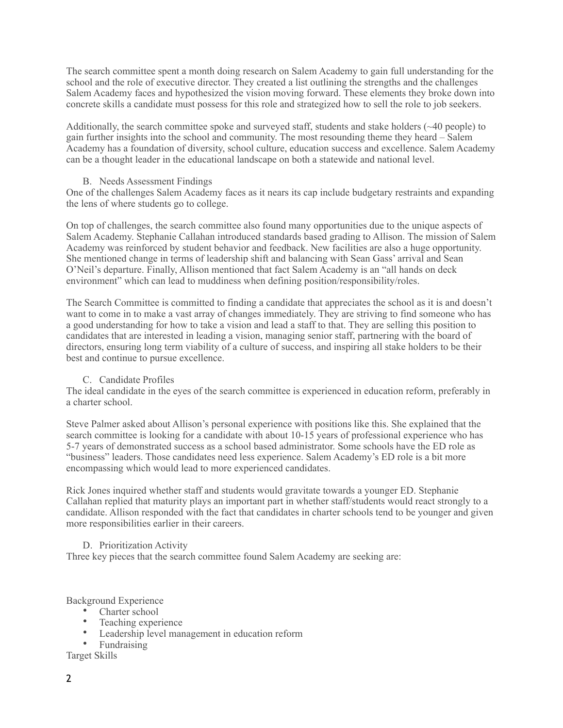The search committee spent a month doing research on Salem Academy to gain full understanding for the school and the role of executive director. They created a list outlining the strengths and the challenges Salem Academy faces and hypothesized the vision moving forward. These elements they broke down into concrete skills a candidate must possess for this role and strategized how to sell the role to job seekers.

Additionally, the search committee spoke and surveyed staff, students and stake holders (~40 people) to gain further insights into the school and community. The most resounding theme they heard – Salem Academy has a foundation of diversity, school culture, education success and excellence. Salem Academy can be a thought leader in the educational landscape on both a statewide and national level.

### B. Needs Assessment Findings

One of the challenges Salem Academy faces as it nears its cap include budgetary restraints and expanding the lens of where students go to college.

On top of challenges, the search committee also found many opportunities due to the unique aspects of Salem Academy. Stephanie Callahan introduced standards based grading to Allison. The mission of Salem Academy was reinforced by student behavior and feedback. New facilities are also a huge opportunity. She mentioned change in terms of leadership shift and balancing with Sean Gass' arrival and Sean O'Neil's departure. Finally, Allison mentioned that fact Salem Academy is an "all hands on deck environment" which can lead to muddiness when defining position/responsibility/roles.

The Search Committee is committed to finding a candidate that appreciates the school as it is and doesn't want to come in to make a vast array of changes immediately. They are striving to find someone who has a good understanding for how to take a vision and lead a staff to that. They are selling this position to candidates that are interested in leading a vision, managing senior staff, partnering with the board of directors, ensuring long term viability of a culture of success, and inspiring all stake holders to be their best and continue to pursue excellence.

# C. Candidate Profiles

The ideal candidate in the eyes of the search committee is experienced in education reform, preferably in a charter school.

Steve Palmer asked about Allison's personal experience with positions like this. She explained that the search committee is looking for a candidate with about 10-15 years of professional experience who has 5-7 years of demonstrated success as a school based administrator. Some schools have the ED role as "business" leaders. Those candidates need less experience. Salem Academy's ED role is a bit more encompassing which would lead to more experienced candidates.

Rick Jones inquired whether staff and students would gravitate towards a younger ED. Stephanie Callahan replied that maturity plays an important part in whether staff/students would react strongly to a candidate. Allison responded with the fact that candidates in charter schools tend to be younger and given more responsibilities earlier in their careers.

# D. Prioritization Activity

Three key pieces that the search committee found Salem Academy are seeking are:

Background Experience

- Charter school
- Teaching experience
- Leadership level management in education reform
- Fundraising

Target Skills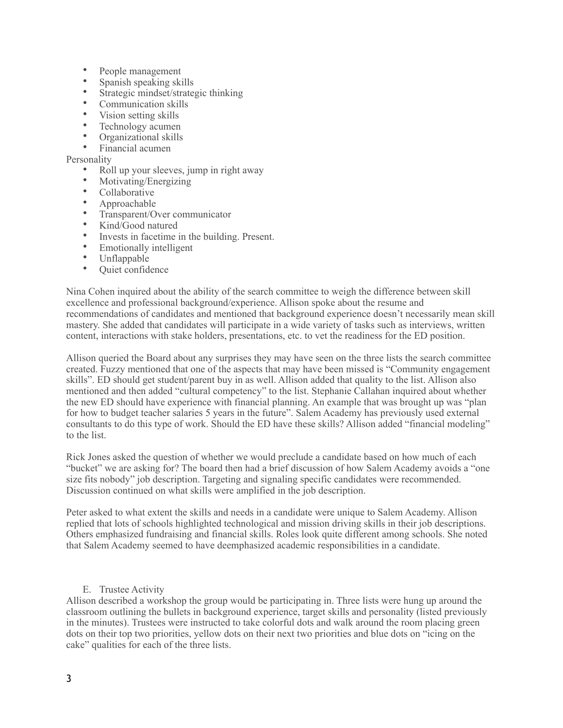- People management
- Spanish speaking skills
- Strategic mindset/strategic thinking
- Communication skills
- Vision setting skills<br>• Technology acumen
- Technology acumen
- Organizational skills<br>• Financial acumen
- Financial acumen

Personality

- Roll up your sleeves, jump in right away
- Motivating/Energizing
- Collaborative<br>• Approachable
- Approachable
- Transparent/Over communicator<br>• Kind/Good natured
- Kind/Good natured
- Invests in facetime in the building. Present.<br>• Emotionally intelligent
- Emotionally intelligent<br>• Unflamable
- Unflappable
- Quiet confidence

Nina Cohen inquired about the ability of the search committee to weigh the difference between skill excellence and professional background/experience. Allison spoke about the resume and recommendations of candidates and mentioned that background experience doesn't necessarily mean skill mastery. She added that candidates will participate in a wide variety of tasks such as interviews, written content, interactions with stake holders, presentations, etc. to vet the readiness for the ED position.

Allison queried the Board about any surprises they may have seen on the three lists the search committee created. Fuzzy mentioned that one of the aspects that may have been missed is "Community engagement skills". ED should get student/parent buy in as well. Allison added that quality to the list. Allison also mentioned and then added "cultural competency" to the list. Stephanie Callahan inquired about whether the new ED should have experience with financial planning. An example that was brought up was "plan for how to budget teacher salaries 5 years in the future". Salem Academy has previously used external consultants to do this type of work. Should the ED have these skills? Allison added "financial modeling" to the list.

Rick Jones asked the question of whether we would preclude a candidate based on how much of each "bucket" we are asking for? The board then had a brief discussion of how Salem Academy avoids a "one size fits nobody" job description. Targeting and signaling specific candidates were recommended. Discussion continued on what skills were amplified in the job description.

Peter asked to what extent the skills and needs in a candidate were unique to Salem Academy. Allison replied that lots of schools highlighted technological and mission driving skills in their job descriptions. Others emphasized fundraising and financial skills. Roles look quite different among schools. She noted that Salem Academy seemed to have deemphasized academic responsibilities in a candidate.

# E. Trustee Activity

Allison described a workshop the group would be participating in. Three lists were hung up around the classroom outlining the bullets in background experience, target skills and personality (listed previously in the minutes). Trustees were instructed to take colorful dots and walk around the room placing green dots on their top two priorities, yellow dots on their next two priorities and blue dots on "icing on the cake" qualities for each of the three lists.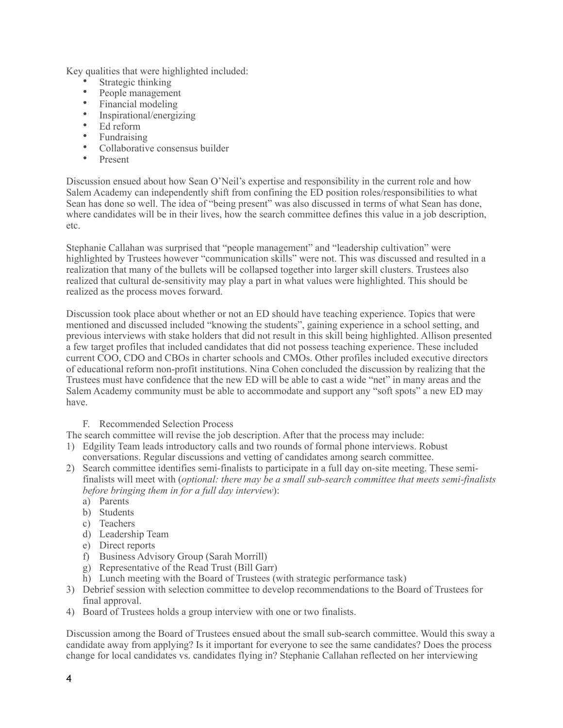Key qualities that were highlighted included:

- Strategic thinking
- People management
- Financial modeling
- Inspirational/energizing
- Ed reform
- Fundraising<br>• Collaborativ
- Collaborative consensus builder
- Present

Discussion ensued about how Sean O'Neil's expertise and responsibility in the current role and how Salem Academy can independently shift from confining the ED position roles/responsibilities to what Sean has done so well. The idea of "being present" was also discussed in terms of what Sean has done, where candidates will be in their lives, how the search committee defines this value in a job description, etc.

Stephanie Callahan was surprised that "people management" and "leadership cultivation" were highlighted by Trustees however "communication skills" were not. This was discussed and resulted in a realization that many of the bullets will be collapsed together into larger skill clusters. Trustees also realized that cultural de-sensitivity may play a part in what values were highlighted. This should be realized as the process moves forward.

Discussion took place about whether or not an ED should have teaching experience. Topics that were mentioned and discussed included "knowing the students", gaining experience in a school setting, and previous interviews with stake holders that did not result in this skill being highlighted. Allison presented a few target profiles that included candidates that did not possess teaching experience. These included current COO, CDO and CBOs in charter schools and CMOs. Other profiles included executive directors of educational reform non-profit institutions. Nina Cohen concluded the discussion by realizing that the Trustees must have confidence that the new ED will be able to cast a wide "net" in many areas and the Salem Academy community must be able to accommodate and support any "soft spots" a new ED may have.

- F. Recommended Selection Process
- The search committee will revise the job description. After that the process may include:
- 1) Edgility Team leads introductory calls and two rounds of formal phone interviews. Robust conversations. Regular discussions and vetting of candidates among search committee.
- 2) Search committee identifies semi-finalists to participate in a full day on-site meeting. These semifinalists will meet with (*optional: there may be a small sub-search committee that meets semi-finalists before bringing them in for a full day interview*):
	- a) Parents
	- b) Students
	- c) Teachers
	- d) Leadership Team
	- e) Direct reports
	- f) Business Advisory Group (Sarah Morrill)
	- g) Representative of the Read Trust (Bill Garr)
	- h) Lunch meeting with the Board of Trustees (with strategic performance task)
- 3) Debrief session with selection committee to develop recommendations to the Board of Trustees for final approval.
- 4) Board of Trustees holds a group interview with one or two finalists.

Discussion among the Board of Trustees ensued about the small sub-search committee. Would this sway a candidate away from applying? Is it important for everyone to see the same candidates? Does the process change for local candidates vs. candidates flying in? Stephanie Callahan reflected on her interviewing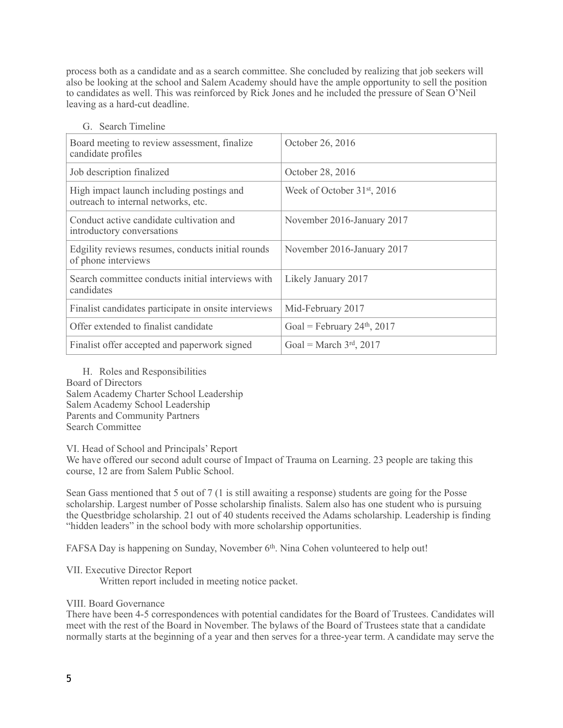process both as a candidate and as a search committee. She concluded by realizing that job seekers will also be looking at the school and Salem Academy should have the ample opportunity to sell the position to candidates as well. This was reinforced by Rick Jones and he included the pressure of Sean O'Neil leaving as a hard-cut deadline.

| Board meeting to review assessment, finalize<br>candidate profiles               | October 26, 2016                |
|----------------------------------------------------------------------------------|---------------------------------|
| Job description finalized                                                        | October 28, 2016                |
| High impact launch including postings and<br>outreach to internal networks, etc. | Week of October $31st$ , 2016   |
| Conduct active candidate cultivation and<br>introductory conversations           | November 2016-January 2017      |
| Edgility reviews resumes, conducts initial rounds<br>of phone interviews         | November 2016-January 2017      |
| Search committee conducts initial interviews with<br>candidates                  | Likely January 2017             |
| Finalist candidates participate in onsite interviews                             | Mid-February 2017               |
| Offer extended to finalist candidate                                             | Goal = February $24th$ , $2017$ |
| Finalist offer accepted and paperwork signed                                     | Goal = March $3rd$ , 2017       |

G. Search Timeline

H. Roles and Responsibilities Board of Directors Salem Academy Charter School Leadership Salem Academy School Leadership Parents and Community Partners Search Committee

VI. Head of School and Principals' Report

We have offered our second adult course of Impact of Trauma on Learning. 23 people are taking this course, 12 are from Salem Public School.

Sean Gass mentioned that 5 out of 7 (1 is still awaiting a response) students are going for the Posse scholarship. Largest number of Posse scholarship finalists. Salem also has one student who is pursuing the Questbridge scholarship. 21 out of 40 students received the Adams scholarship. Leadership is finding "hidden leaders" in the school body with more scholarship opportunities.

FAFSA Day is happening on Sunday, November 6<sup>th</sup>. Nina Cohen volunteered to help out!

# VII. Executive Director Report

Written report included in meeting notice packet.

### VIII. Board Governance

There have been 4-5 correspondences with potential candidates for the Board of Trustees. Candidates will meet with the rest of the Board in November. The bylaws of the Board of Trustees state that a candidate normally starts at the beginning of a year and then serves for a three-year term. A candidate may serve the